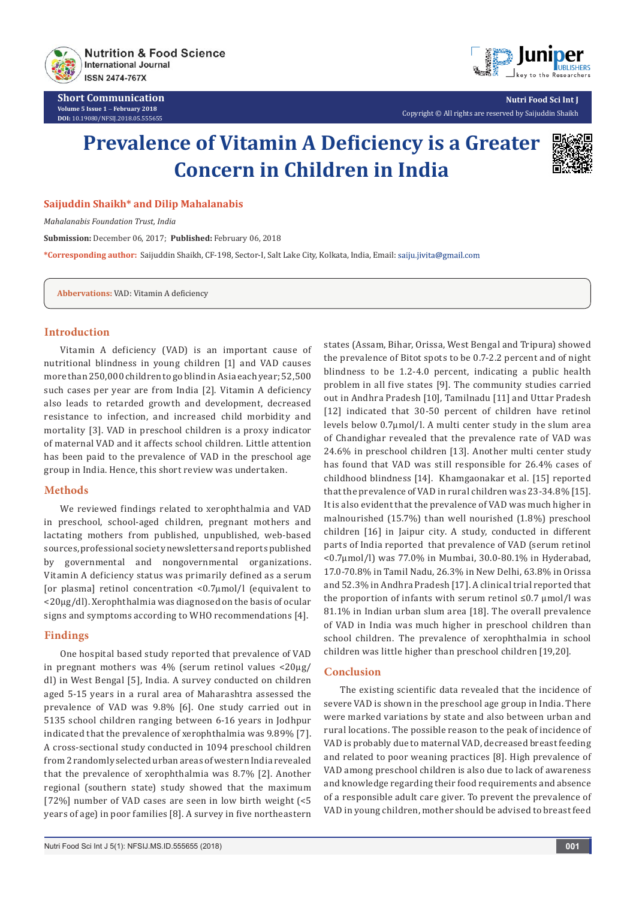

**Short Communication Volume 5 Issue 1** - **February 2018 DOI:** [10.19080/NFSIJ.2018.05.55565](http://dx.doi.org/10.19080/NFSIJ.2018.05.555655)5



**Nutri Food Sci Int J** Copyright © All rights are reserved by Saijuddin Shaikh

# **Prevalence of Vitamin A Deficiency is a Greater Concern in Children in India**



## **Saijuddin Shaikh\* and Dilip Mahalanabis**

*Mahalanabis Foundation Trust, India*

**Submission:** December 06, 2017; **Published:** February 06, 2018

**\*Corresponding author:** Saijuddin Shaikh, CF-198, Sector-I, Salt Lake City, Kolkata, India, Email:

**Abbervations:** VAD: Vitamin A deficiency

## **Introduction**

Vitamin A deficiency (VAD) is an important cause of nutritional blindness in young children [1] and VAD causes more than 250,000 children to go blind in Asia each year; 52,500 such cases per year are from India [2]. Vitamin A deficiency also leads to retarded growth and development, decreased resistance to infection, and increased child morbidity and mortality [3]. VAD in preschool children is a proxy indicator of maternal VAD and it affects school children. Little attention has been paid to the prevalence of VAD in the preschool age group in India. Hence, this short review was undertaken.

#### **Methods**

We reviewed findings related to xerophthalmia and VAD in preschool, school-aged children, pregnant mothers and lactating mothers from published, unpublished, web-based sources, professional society newsletters and reports published by governmental and nongovernmental organizations. Vitamin A deficiency status was primarily defined as a serum [or plasma] retinol concentration <0.7µmol/l (equivalent to <20µg/dl). Xerophthalmia was diagnosed on the basis of ocular signs and symptoms according to WHO recommendations [4].

### **Findings**

One hospital based study reported that prevalence of VAD in pregnant mothers was 4% (serum retinol values <20µg/ dl) in West Bengal [5], India. A survey conducted on children aged 5-15 years in a rural area of Maharashtra assessed the prevalence of VAD was 9.8% [6]. One study carried out in 5135 school children ranging between 6-16 years in Jodhpur indicated that the prevalence of xerophthalmia was 9.89% [7]. A cross-sectional study conducted in 1094 preschool children from 2 randomly selected urban areas of western India revealed that the prevalence of xerophthalmia was 8.7% [2]. Another regional (southern state) study showed that the maximum [72%] number of VAD cases are seen in low birth weight  $\leq 5$ years of age) in poor families [8]. A survey in five northeastern

states (Assam, Bihar, Orissa, West Bengal and Tripura) showed the prevalence of Bitot spots to be 0.7-2.2 percent and of night blindness to be 1.2-4.0 percent, indicating a public health problem in all five states [9]. The community studies carried out in Andhra Pradesh [10], Tamilnadu [11] and Uttar Pradesh [12] indicated that 30-50 percent of children have retinol levels below 0.7µmol/l. A multi center study in the slum area of Chandighar revealed that the prevalence rate of VAD was 24.6% in preschool children [13]. Another multi center study has found that VAD was still responsible for 26.4% cases of childhood blindness [14]. Khamgaonakar et al. [15] reported that the prevalence of VAD in rural children was 23-34.8% [15]. It is also evident that the prevalence of VAD was much higher in malnourished (15.7%) than well nourished (1.8%) preschool children [16] in Jaipur city. A study, conducted in different parts of India reported that prevalence of VAD (serum retinol <0.7µmol/l) was 77.0% in Mumbai, 30.0-80.1% in Hyderabad, 17.0-70.8% in Tamil Nadu, 26.3% in New Delhi, 63.8% in Orissa and 52.3% in Andhra Pradesh [17]. A clinical trial reported that the proportion of infants with serum retinol  $\leq 0.7 \mu$ mol/l was 81.1% in Indian urban slum area [18]. The overall prevalence of VAD in India was much higher in preschool children than school children. The prevalence of xerophthalmia in school children was little higher than preschool children [19,20].

## **Conclusion**

The existing scientific data revealed that the incidence of severe VAD is shown in the preschool age group in India. There were marked variations by state and also between urban and rural locations. The possible reason to the peak of incidence of VAD is probably due to maternal VAD, decreased breast feeding and related to poor weaning practices [8]. High prevalence of VAD among preschool children is also due to lack of awareness and knowledge regarding their food requirements and absence of a responsible adult care giver. To prevent the prevalence of VAD in young children, mother should be advised to breast feed